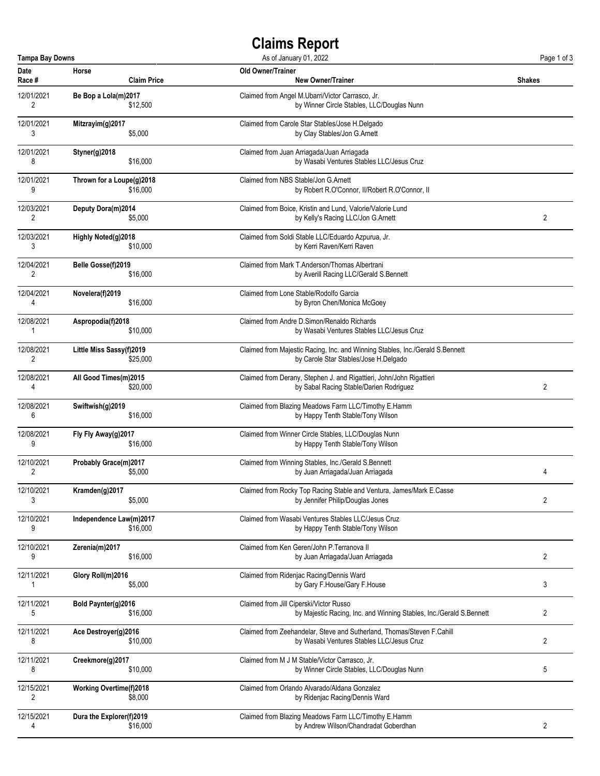## **Claims Report**

| <b>Tampa Bay Downs</b><br>As of January 01, 2022 |                                |                                                                               | Page 1 of 3    |
|--------------------------------------------------|--------------------------------|-------------------------------------------------------------------------------|----------------|
| Date                                             | Horse                          | Old Owner/Trainer                                                             | <b>Shakes</b>  |
| Race #                                           | <b>Claim Price</b>             | <b>New Owner/Trainer</b>                                                      |                |
| 12/01/2021                                       | Be Bop a Lola(m)2017           | Claimed from Angel M.Ubarri/Victor Carrasco, Jr.                              |                |
| 2                                                | \$12,500                       | by Winner Circle Stables, LLC/Douglas Nunn                                    |                |
| 12/01/2021                                       | Mitzrayim(g)2017               | Claimed from Carole Star Stables/Jose H.Delgado                               |                |
| 3                                                | \$5,000                        | by Clay Stables/Jon G.Arnett                                                  |                |
| 12/01/2021                                       | Styner(g)2018                  | Claimed from Juan Arriagada/Juan Arriagada                                    |                |
| 8                                                | \$16,000                       | by Wasabi Ventures Stables LLC/Jesus Cruz                                     |                |
| 12/01/2021                                       | Thrown for a Loupe(g)2018      | Claimed from NBS Stable/Jon G.Arnett                                          |                |
| 9                                                | \$16,000                       | by Robert R.O'Connor, II/Robert R.O'Connor, II                                |                |
| 12/03/2021                                       | Deputy Dora(m)2014             | Claimed from Boice, Kristin and Lund, Valorie/Valorie Lund                    | 2              |
| 2                                                | \$5,000                        | by Kelly's Racing LLC/Jon G.Arnett                                            |                |
| 12/03/2021                                       | Highly Noted(g)2018            | Claimed from Soldi Stable LLC/Eduardo Azpurua, Jr.                            |                |
| 3                                                | \$10,000                       | by Kerri Raven/Kerri Raven                                                    |                |
| 12/04/2021                                       | Belle Gosse(f)2019             | Claimed from Mark T.Anderson/Thomas Albertrani                                |                |
| 2                                                | \$16,000                       | by Averill Racing LLC/Gerald S.Bennett                                        |                |
| 12/04/2021                                       | Novelera(f)2019                | Claimed from Lone Stable/Rodolfo Garcia                                       |                |
| 4                                                | \$16,000                       | by Byron Chen/Monica McGoey                                                   |                |
| 12/08/2021                                       | Aspropodia(f)2018              | Claimed from Andre D. Simon/Renaldo Richards                                  |                |
| 1                                                | \$10,000                       | by Wasabi Ventures Stables LLC/Jesus Cruz                                     |                |
| 12/08/2021                                       | Little Miss Sassy(f)2019       | Claimed from Majestic Racing, Inc. and Winning Stables, Inc./Gerald S.Bennett |                |
| 2                                                | \$25,000                       | by Carole Star Stables/Jose H.Delgado                                         |                |
| 12/08/2021                                       | All Good Times(m)2015          | Claimed from Derany, Stephen J. and Rigattieri, John/John Rigattieri          | 2              |
| 4                                                | \$20,000                       | by Sabal Racing Stable/Darien Rodriguez                                       |                |
| 12/08/2021                                       | Swiftwish(g)2019               | Claimed from Blazing Meadows Farm LLC/Timothy E.Hamm                          |                |
| 6                                                | \$16,000                       | by Happy Tenth Stable/Tony Wilson                                             |                |
| 12/08/2021                                       | Fly Fly Away(g)2017            | Claimed from Winner Circle Stables, LLC/Douglas Nunn                          |                |
| 9                                                | \$16,000                       | by Happy Tenth Stable/Tony Wilson                                             |                |
| 12/10/2021                                       | Probably Grace(m)2017          | Claimed from Winning Stables, Inc./Gerald S.Bennett                           | 4              |
| 2                                                | \$5,000                        | by Juan Arriagada/Juan Arriagada                                              |                |
| 12/10/2021                                       | Kramden(g)2017                 | Claimed from Rocky Top Racing Stable and Ventura, James/Mark E.Casse          | $\overline{2}$ |
| 3                                                | \$5,000                        | by Jennifer Philip/Douglas Jones                                              |                |
| 12/10/2021                                       | Independence Law(m)2017        | Claimed from Wasabi Ventures Stables LLC/Jesus Cruz                           |                |
| 9                                                | \$16,000                       | by Happy Tenth Stable/Tony Wilson                                             |                |
| 12/10/2021                                       | Zerenia(m)2017                 | Claimed from Ken Geren/John P.Terranova II                                    | $\overline{c}$ |
| 9                                                | \$16,000                       | by Juan Arriagada/Juan Arriagada                                              |                |
| 12/11/2021                                       | Glory Roll(m)2016<br>\$5,000   | Claimed from Ridenjac Racing/Dennis Ward<br>by Gary F.House/Gary F.House      | 3              |
| 12/11/2021                                       | Bold Paynter(g)2016            | Claimed from Jill Ciperski/Victor Russo                                       | 2              |
| 5                                                | \$16,000                       | by Majestic Racing, Inc. and Winning Stables, Inc./Gerald S.Bennett           |                |
| 12/11/2021                                       | Ace Destroyer(g)2016           | Claimed from Zeehandelar, Steve and Sutherland, Thomas/Steven F.Cahill        | 2              |
| 8                                                | \$10,000                       | by Wasabi Ventures Stables LLC/Jesus Cruz                                     |                |
| 12/11/2021                                       | Creekmore(g)2017               | Claimed from M J M Stable/Victor Carrasco, Jr.                                | 5              |
| 8                                                | \$10,000                       | by Winner Circle Stables, LLC/Douglas Nunn                                    |                |
| 12/15/2021                                       | <b>Working Overtime(f)2018</b> | Claimed from Orlando Alvarado/Aldana Gonzalez                                 |                |
| 2                                                | \$8,000                        | by Ridenjac Racing/Dennis Ward                                                |                |
| 12/15/2021                                       | Dura the Explorer(f)2019       | Claimed from Blazing Meadows Farm LLC/Timothy E.Hamm                          | 2              |
| 4                                                | \$16,000                       | by Andrew Wilson/Chandradat Goberdhan                                         |                |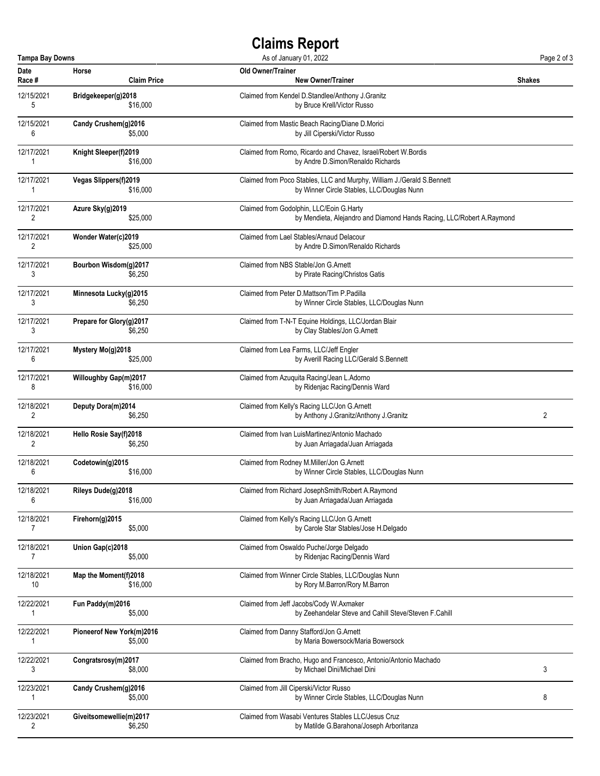## **Claims Report**

| <b>Tampa Bay Downs</b><br>As of January 01, 2022 |                              |                                                                        | Page 2 of 3 |
|--------------------------------------------------|------------------------------|------------------------------------------------------------------------|-------------|
| Date                                             | Horse                        | Old Owner/Trainer                                                      | Shakes      |
| Race #                                           | <b>Claim Price</b>           | <b>New Owner/Trainer</b>                                               |             |
| 12/15/2021                                       | Bridgekeeper(g)2018          | Claimed from Kendel D.Standlee/Anthony J.Granitz                       |             |
| 5                                                | \$16,000                     | by Bruce Krell/Victor Russo                                            |             |
| 12/15/2021                                       | Candy Crushem(g)2016         | Claimed from Mastic Beach Racing/Diane D.Morici                        |             |
| 6                                                | \$5,000                      | by Jill Ciperski/Victor Russo                                          |             |
| 12/17/2021                                       | Knight Sleeper(f)2019        | Claimed from Romo. Ricardo and Chavez. Israel/Robert W. Bordis         |             |
| 1                                                | \$16,000                     | by Andre D.Simon/Renaldo Richards                                      |             |
| 12/17/2021                                       | Vegas Slippers(f)2019        | Claimed from Poco Stables, LLC and Murphy, William J./Gerald S.Bennett |             |
| 1                                                | \$16,000                     | by Winner Circle Stables, LLC/Douglas Nunn                             |             |
| 12/17/2021                                       | Azure Sky(g)2019             | Claimed from Godolphin, LLC/Eoin G.Harty                               |             |
| 2                                                | \$25,000                     | by Mendieta, Alejandro and Diamond Hands Racing, LLC/Robert A.Raymond  |             |
| 12/17/2021                                       | Wonder Water(c)2019          | Claimed from Lael Stables/Arnaud Delacour                              |             |
| 2                                                | \$25,000                     | by Andre D.Simon/Renaldo Richards                                      |             |
| 12/17/2021                                       | Bourbon Wisdom(g)2017        | Claimed from NBS Stable/Jon G.Arnett                                   |             |
| 3                                                | \$6,250                      | by Pirate Racing/Christos Gatis                                        |             |
| 12/17/2021                                       | Minnesota Lucky(g)2015       | Claimed from Peter D.Mattson/Tim P.Padilla                             |             |
| 3                                                | \$6,250                      | by Winner Circle Stables, LLC/Douglas Nunn                             |             |
| 12/17/2021                                       | Prepare for Glory(g)2017     | Claimed from T-N-T Equine Holdings, LLC/Jordan Blair                   |             |
| 3                                                | \$6,250                      | by Clay Stables/Jon G.Arnett                                           |             |
| 12/17/2021                                       | Mystery Mo(g)2018            | Claimed from Lea Farms, LLC/Jeff Engler                                |             |
| 6                                                | \$25,000                     | by Averill Racing LLC/Gerald S.Bennett                                 |             |
| 12/17/2021                                       | <b>Willoughby Gap(m)2017</b> | Claimed from Azuquita Racing/Jean L.Adorno                             |             |
| 8                                                | \$16,000                     | by Ridenjac Racing/Dennis Ward                                         |             |
| 12/18/2021                                       | Deputy Dora(m)2014           | Claimed from Kelly's Racing LLC/Jon G.Arnett                           | 2           |
| 2                                                | \$6,250                      | by Anthony J.Granitz/Anthony J.Granitz                                 |             |
| 12/18/2021                                       | Hello Rosie Say(f)2018       | Claimed from Ivan LuisMartinez/Antonio Machado                         |             |
| 2                                                | \$6,250                      | by Juan Arriagada/Juan Arriagada                                       |             |
| 12/18/2021                                       | Codetowin(g)2015             | Claimed from Rodney M.Miller/Jon G.Arnett                              |             |
| 6                                                | \$16,000                     | by Winner Circle Stables, LLC/Douglas Nunn                             |             |
| 12/18/2021                                       | Rileys Dude(g)2018           | Claimed from Richard JosephSmith/Robert A.Raymond                      |             |
| 6                                                | \$16,000                     | by Juan Arriagada/Juan Arriagada                                       |             |
| 12/18/2021                                       | Firehorn(g)2015              | Claimed from Kelly's Racing LLC/Jon G.Arnett                           |             |
| 7                                                | \$5,000                      | by Carole Star Stables/Jose H.Delgado                                  |             |
| 12/18/2021                                       | Union Gap(c)2018             | Claimed from Oswaldo Puche/Jorge Delgado                               |             |
| $\overline{7}$                                   | \$5,000                      | by Ridenjac Racing/Dennis Ward                                         |             |
| 12/18/2021                                       | Map the Moment(f)2018        | Claimed from Winner Circle Stables, LLC/Douglas Nunn                   |             |
| 10                                               | \$16,000                     | by Rory M.Barron/Rory M.Barron                                         |             |
| 12/22/2021                                       | Fun Paddy(m)2016             | Claimed from Jeff Jacobs/Cody W.Axmaker                                |             |
| 1                                                | \$5,000                      | by Zeehandelar Steve and Cahill Steve/Steven F.Cahill                  |             |
| 12/22/2021                                       | Pioneerof New York(m)2016    | Claimed from Danny Stafford/Jon G.Arnett                               |             |
| 1                                                | \$5,000                      | by Maria Bowersock/Maria Bowersock                                     |             |
| 12/22/2021                                       | Congratsrosy(m)2017          | Claimed from Bracho, Hugo and Francesco, Antonio/Antonio Machado       | 3           |
| 3                                                | \$8,000                      | by Michael Dini/Michael Dini                                           |             |
| 12/23/2021                                       | Candy Crushem(g)2016         | Claimed from Jill Ciperski/Victor Russo                                | 8           |
| 1                                                | \$5,000                      | by Winner Circle Stables, LLC/Douglas Nunn                             |             |
| 12/23/2021                                       | Giveitsomewellie(m)2017      | Claimed from Wasabi Ventures Stables LLC/Jesus Cruz                    |             |
| 2                                                | \$6,250                      | by Matilde G.Barahona/Joseph Arboritanza                               |             |